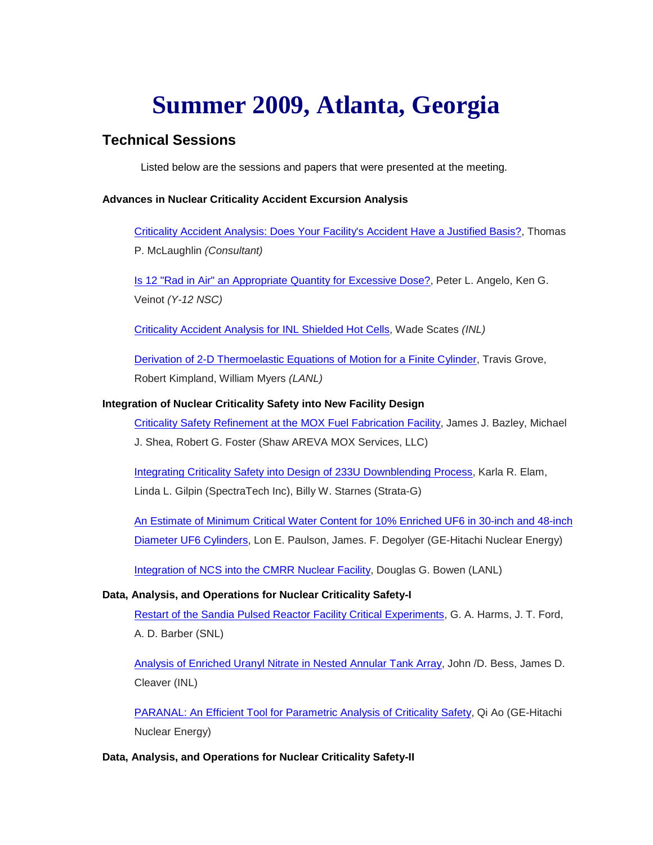# **Summer 2009, Atlanta, Georgia**

## **Technical Sessions**

Listed below are the sessions and papers that were presented at the meeting.

#### **Advances in Nuclear Criticality Accident Excursion Analysis**

[Criticality Accident Analysis: Does Your Facility's Accident Have a Justified Basis?,](http://ncsd.ans.org/site/atlanta_2009/Mon%201%20ATL2009_tom.pdf) Thomas P. McLaughlin *(Consultant)*

[Is 12 "Rad in Air" an Appropriate Quantity for Excessive Dose?,](http://ncsd.ans.org/site/atlanta_2009/Mon%202%20ans_summer_09_12rad_final.pdf) Peter L. Angelo, Ken G. Veinot *(Y-12 NSC)*

[Criticality Accident Analysis for INL Shielded Hot Cells,](http://ncsd.ans.org/site/atlanta_2009/Mon%203%20Criticality%20Accident%20Analysis1.pdf) Wade Scates *(INL)*

[Derivation of 2-D Thermoelastic Equations of Motion for a Finite Cylinder,](http://ncsd.ans.org/site/atlanta_2009/Mon%204%20pres3.pdf) Travis Grove, Robert Kimpland, William Myers *(LANL)*

#### **Integration of Nuclear Criticality Safety into New Facility Design**

[Criticality Safety Refinement at the MOX Fuel Fabrication Facility,](http://ncsd.ans.org/site/atlanta_2009/Tues%201%20Bazley_Shea%202009%20Summer%20ANS%20R1.pdf) James J. Bazley, Michael J. Shea, Robert G. Foster (Shaw AREVA MOX Services, LLC)

[Integrating Criticality Safety into Design of 233U Downblending Process,](http://ncsd.ans.org/site/atlanta_2009/Tues%202%20ANS%20Annual%20Meeting%202009%20-%20Integrating%20Criticality%20Safety%20in%20Design%20of%20233U%20Downblending%20Process.pdf) Karla R. Elam, Linda L. Gilpin (SpectraTech Inc), Billy W. Starnes (Strata-G)

[An Estimate of Minimum Critical Water Content for 10% Enriched UF6 in](http://ncsd.ans.org/site/atlanta_2009/Tues%203%20estimate_crit_h2o.pdf) 30-inch and 48-inch [Diameter UF6 Cylinders,](http://ncsd.ans.org/site/atlanta_2009/Tues%203%20estimate_crit_h2o.pdf) Lon E. Paulson, James. F. Degolyer (GE-Hitachi Nuclear Energy)

[Integration of NCS into the CMRR Nuclear Facility,](http://ncsd.ans.org/site/atlanta_2009/Tues%204%20CMRR.pdf) Douglas G. Bowen (LANL)

### **Data, Analysis, and Operations for Nuclear Criticality Safety-I**

[Restart of the Sandia Pulsed Reactor Facility Critical Experiments,](http://ncsd.ans.org/site/atlanta_2009/Tues%205%20Harms-Ford-Barber%20VGs%20rev%201a.pdf) G. A. Harms, J. T. Ford, A. D. Barber (SNL)

[Analysis of Enriched Uranyl Nitrate in Nested Annular Tank Array,](http://ncsd.ans.org/site/atlanta_2009/Tues%206%20Tanks%20-%20ANS%202009.pdf) John /D. Bess, James D. Cleaver (INL)

[PARANAL: An Efficient Tool for Parametric Analysis of Criticality Safety,](http://ncsd.ans.org/site/atlanta_2009/Tues%207%20paranal.pdf) Qi Ao (GE-Hitachi Nuclear Energy)

### **Data, Analysis, and Operations for Nuclear Criticality Safety-II**